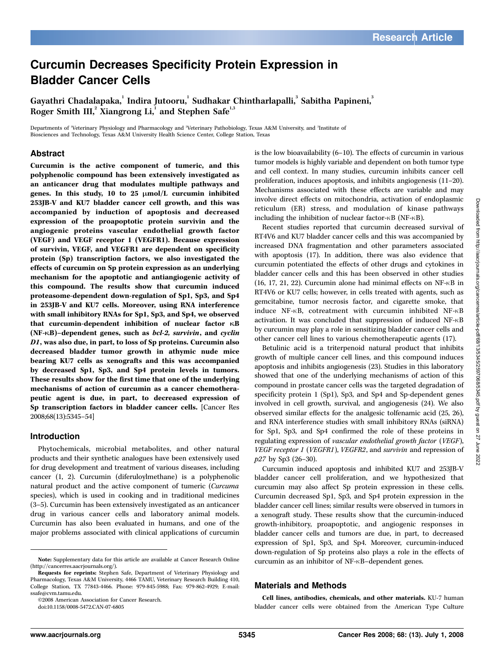# Curcumin Decreases Specificity Protein Expression in Bladder Cancer Cells

Gayathri Chadalapaka, Indira Jutooru, Sudhakar Chintharlapalli, Sabitha Papineni, 3 Roger Smith III, $^2$  Xiangrong Li, $^1$  and Stephen Safe $^{\text{\tiny{L}},\text{\tiny{3}}}$ 

Departments of 'Veterinary Physiology and Pharmacology and <sup>z</sup>Veterinary Pathobiology, Texas A&M University, and <sup>3</sup>Institute of Biosciences and Technology, Texas A&M University Health Science Center, College Station, Texas

#### Abstract

Curcumin is the active component of tumeric, and this polyphenolic compound has been extensively investigated as an anticancer drug that modulates multiple pathways and genes. In this study, 10 to 25  $\mu$ mol/L curcumin inhibited 253JB-V and KU7 bladder cancer cell growth, and this was accompanied by induction of apoptosis and decreased expression of the proapoptotic protein survivin and the angiogenic proteins vascular endothelial growth factor (VEGF) and VEGF receptor 1 (VEGFR1). Because expression of survivin, VEGF, and VEGFR1 are dependent on specificity protein (Sp) transcription factors, we also investigated the effects of curcumin on Sp protein expression as an underlying mechanism for the apoptotic and antiangiogenic activity of this compound. The results show that curcumin induced proteasome-dependent down-regulation of Sp1, Sp3, and Sp4 in 253JB-V and KU7 cells. Moreover, using RNA interference with small inhibitory RNAs for Sp1, Sp3, and Sp4, we observed that curcumin-dependent inhibition of nuclear factor  $\kappa$ B (NF-KB)–dependent genes, such as bcl-2, survivin, and cyclin D1, was also due, in part, to loss of Sp proteins. Curcumin also decreased bladder tumor growth in athymic nude mice bearing KU7 cells as xenografts and this was accompanied by decreased Sp1, Sp3, and Sp4 protein levels in tumors. These results show for the first time that one of the underlying mechanisms of action of curcumin as a cancer chemotherapeutic agent is due, in part, to decreased expression of Sp transcription factors in bladder cancer cells. [Cancer Res 2008;68(13):5345–54]

#### Introduction

Phytochemicals, microbial metabolites, and other natural products and their synthetic analogues have been extensively used for drug development and treatment of various diseases, including cancer (1, 2). Curcumin (diferuloylmethane) is a polyphenolic natural product and the active component of tumeric (Curcuma species), which is used in cooking and in traditional medicines (3–5). Curcumin has been extensively investigated as an anticancer drug in various cancer cells and laboratory animal models. Curcumin has also been evaluated in humans, and one of the major problems associated with clinical applications of curcumin

©2008 American Association for Cancer Research.

doi:10.1158/0008-5472.CAN-07-6805

is the low bioavailability (6–10). The effects of curcumin in various tumor models is highly variable and dependent on both tumor type and cell context. In many studies, curcumin inhibits cancer cell proliferation, induces apoptosis, and inhibits angiogenesis (11–20). Mechanisms associated with these effects are variable and may involve direct effects on mitochondria, activation of endoplasmic reticulum (ER) stress, and modulation of kinase pathways including the inhibition of nuclear factor- $\kappa$ B (NF- $\kappa$ B).

Recent studies reported that curcumin decreased survival of RT4V6 and KU7 bladder cancer cells and this was accompanied by increased DNA fragmentation and other parameters associated with apoptosis (17). In addition, there was also evidence that curcumin potentiated the effects of other drugs and cytokines in bladder cancer cells and this has been observed in other studies  $(16, 17, 21, 22)$ . Curcumin alone had minimal effects on NF- $\kappa$ B in RT4V6 or KU7 cells; however, in cells treated with agents, such as gemcitabine, tumor necrosis factor, and cigarette smoke, that induce NF- $\kappa$ B, cotreatment with curcumin inhibited NF- $\kappa$ B activation. It was concluded that suppression of induced NF-nB by curcumin may play a role in sensitizing bladder cancer cells and other cancer cell lines to various chemotherapeutic agents (17).

Betulinic acid is a triterpenoid natural product that inhibits growth of multiple cancer cell lines, and this compound induces apoptosis and inhibits angiogenesis (23). Studies in this laboratory showed that one of the underlying mechanisms of action of this compound in prostate cancer cells was the targeted degradation of specificity protein 1 (Sp1), Sp3, and Sp4 and Sp-dependent genes involved in cell growth, survival, and angiogenesis (24). We also observed similar effects for the analgesic tolfenamic acid (25, 26), and RNA interference studies with small inhibitory RNAs (siRNA) for Sp1, Sp3, and Sp4 confirmed the role of these proteins in regulating expression of vascular endothelial growth factor (VEGF), VEGF receptor 1 (VEGFR1), VEGFR2, and survivin and repression of p27 by Sp3(26–30).

Curcumin induced apoptosis and inhibited KU7 and 253JB-V bladder cancer cell proliferation, and we hypothesized that curcumin may also affect Sp protein expression in these cells. Curcumin decreased Sp1, Sp3, and Sp4 protein expression in the bladder cancer cell lines; similar results were observed in tumors in a xenograft study. These results show that the curcumin-induced growth-inhibitory, proapoptotic, and angiogenic responses in bladder cancer cells and tumors are due, in part, to decreased expression of Sp1, Sp3, and Sp4. Moreover, curcumin-induced down-regulation of Sp proteins also plays a role in the effects of curcumin as an inhibitor of NF- $\kappa$ B-dependent genes.

#### Materials and Methods

Cell lines, antibodies, chemicals, and other materials. KU-7 human bladder cancer cells were obtained from the American Type Culture

Note: Supplementary data for this article are available at Cancer Research Online (http://cancerres.aacrjournals.org/).

Requests for reprints: Stephen Safe, Department of Veterinary Physiology and Pharmacology, Texas A&M University, 4466 TAMU, Veterinary Research Building 410, College Station, TX 77843-4466. Phone: 979-845-5988; Fax: 979-862-4929; E-mail: ssafe@cvm.tamu.edu.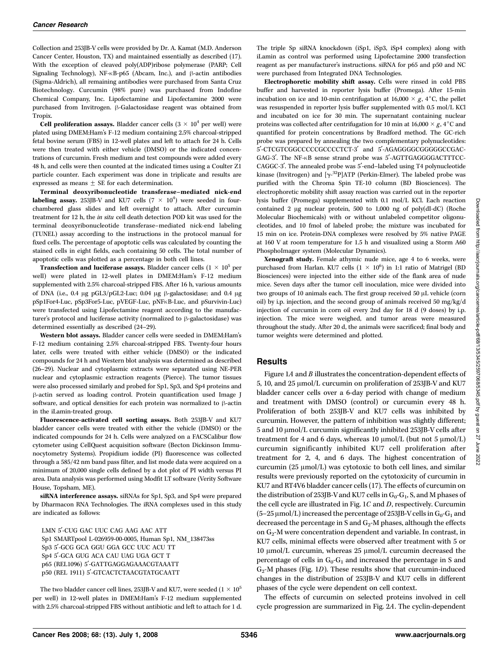Collection and 253JB-V cells were provided by Dr. A. Kamat (M.D. Anderson Cancer Center, Houston, TX) and maintained essentially as described (17). With the exception of cleaved poly(ADP)ribose polymerase (PARP; Cell Signaling Technology), NF- $\kappa$ B-p65 (Abcam, Inc.), and  $\beta$ -actin antibodies (Sigma-Aldrich), all remaining antibodies were purchased from Santa Cruz Biotechnology. Curcumin (98% pure) was purchased from Indofine Chemical Company, Inc. Lipofectamine and Lipofectamine 2000 were purchased from Invitrogen.  $\beta$ -Galactosidase reagent was obtained from Tropix.

Cell proliferation assays. Bladder cancer cells  $(3 \times 10^4$  per well) were plated using DMEM:Ham's F-12 medium containing 2.5% charcoal-stripped fetal bovine serum (FBS) in 12-well plates and left to attach for 24 h. Cells were then treated with either vehicle (DMSO) or the indicated concentrations of curcumin. Fresh medium and test compounds were added every 48 h, and cells were then counted at the indicated times using a Coulter Z1 particle counter. Each experiment was done in triplicate and results are expressed as means  $\pm$  SE for each determination.

Terminal deoxyribonucleotide transferase–mediated nick-end labeling assay. 253JB-V and KU7 cells  $(7 \times 10^4)$  were seeded in fourchambered glass slides and left overnight to attach. After curcumin treatment for 12 h, the in situ cell death detection POD kit was used for the terminal deoxyribonucleotide transferase–mediated nick-end labeling (TUNEL) assay according to the instructions in the protocol manual for fixed cells. The percentage of apoptotic cells was calculated by counting the stained cells in eight fields, each containing 50 cells. The total number of apoptotic cells was plotted as a percentage in both cell lines.

**Transfection and luciferase assays.** Bladder cancer cells  $(1 \times 10^5$  per well) were plated in 12-well plates in DMEM:Ham's F-12 medium supplemented with 2.5% charcoal-stripped FBS. After 16 h, various amounts of DNA (i.e., 0.4 μg pGL3/pGL2-Luc; 0.04 μg β-galactosidase; and 0.4 μg pSp1For4-Luc, pSp3For5-Luc, pVEGF-Luc, pNFnB-Luc, and pSurvivin-Luc) were transfected using Lipofectamine reagent according to the manufacturer's protocol and luciferase activity (normalized to  $\beta$ -galactosidase) was determined essentially as described (24–29).

Western blot assays. Bladder cancer cells were seeded in DMEM:Ham's F-12 medium containing 2.5% charcoal-stripped FBS. Twenty-four hours later, cells were treated with either vehicle (DMSO) or the indicated compounds for 24 h and Western blot analysis was determined as described (26–29). Nuclear and cytoplasmic extracts were separated using NE-PER nuclear and cytoplasmic extraction reagents (Pierce). The tumor tissues were also processed similarly and probed for Sp1, Sp3, and Sp4 proteins and h-actin served as loading control. Protein quantification used Image J software, and optical densities for each protein was normalized to  $\beta$ -actin in the iLamin-treated group.

Fluorescence-activated cell sorting assays. Both 253JB-V and KU7 bladder cancer cells were treated with either the vehicle (DMSO) or the indicated compounds for 24 h. Cells were analyzed on a FACSCalibur flow cytometer using CellQuest acquisition software (Becton Dickinson Immunocytometry Systems). Propidium iodide (PI) fluorescence was collected through a 585/42 nm band pass filter, and list mode data were acquired on a minimum of 20,000 single cells defined by a dot plot of PI width versus PI area. Data analysis was performed using Modfit LT software (Verity Software House, Topsham, ME).

siRNA interference assays. siRNAs for Sp1, Sp3, and Sp4 were prepared by Dharmacon RNA Technologies. The iRNA complexes used in this study are indicated as follows:

LMN 5'-CUG GAC UUC CAG AAG AAC ATT Sp1 SMARTpool L-026959-00-0005, Human Sp1, NM\_138473ss Sp3 5'-GCG GCA GGU GGA GCC UUC ACU TT Sp4 5'-GCA GUG ACA CAU UAG UGA GCT T p65 (REL1096) 5'-GATTGAGGAGAAACGTAAATT p50 (REL 1911) 5'-GTCACTCTAACGTATGCAATT

The two bladder cancer cell lines, 253JB-V and KU7, were seeded ( $1 \times 10^5$ ) per well) in 12-well plates in DMEM:Ham's F-12 medium supplemented with 2.5% charcoal-stripped FBS without antibiotic and left to attach for 1 d.

The triple Sp siRNA knockdown (iSp1, iSp3, iSp4 complex) along with iLamin as control was performed using Lipofectamine 2000 transfection reagent as per manufacturer's instructions. siRNA for p65 and p50 and NC were purchased from Integrated DNA Technologies.

Electrophoretic mobility shift assay. Cells were rinsed in cold PBS buffer and harvested in reporter lysis buffer (Promega). After 15-min incubation on ice and 10-min centrifugation at  $16,000 \times g$ ,  $4^{\circ}$ C, the pellet was resuspended in reporter lysis buffer supplemented with 0.5 mol/L KCl and incubated on ice for 30 min. The supernatant containing nuclear proteins was collected after centrifugation for 10 min at 16,000  $\times$  g, 4 $\degree$ C and quantified for protein concentrations by Bradford method. The GC-rich probe was prepared by annealing the two complementary polynucleotides: 5'-CTCGTCGGCCCCCCCCCCTCT-3' and 5'-AGAGGGGGGGGGGCCGAC-GAG-3'. The NF-KB sense strand probe was 5'-AGTTGAGGGGACTTTCC-CAGGC-3<sup>'</sup>. The annealed probe was 5'-end-labeled using T4 polynucleotide kinase (Invitrogen) and  $[\gamma^{32}P]$ ATP (Perkin-Elmer). The labeled probe was<br>purified with the Chrome Spin TE 10 column (BD Biogeigness). The purified with the Chroma Spin TE-10 column (BD Biosciences). The electrophoretic mobility shift assay reaction was carried out in the reporter lysis buffer (Promega) supplemented with 0.1 mol/L KCl. Each reaction contained 2  $\mu$ g nuclear protein, 500 to 1,000 ng of poly(dI-dC) (Roche Molecular Biochemicals) with or without unlabeled competitor oligonucleotides, and 10 fmol of labeled probe; the mixture was incubated for 15 min on ice. Protein-DNA complexes were resolved by 5% native PAGE at 160 V at room temperature for 1.5 h and visualized using a Storm A60 PhosphoImager system (Molecular Dynamics).

Xenograft study. Female athymic nude mice, age 4 to 6 weeks, were purchased from Harlan. KU7 cells  $(1 \times 10^6)$  in 1:1 ratio of Matrigel (BD Biosciences) were injected into the either side of the flank area of nude mice. Seven days after the tumor cell inoculation, mice were divided into two groups of 10 animals each. The first group received 50 µL vehicle (corn oil) by i.p. injection, and the second group of animals received 50 mg/kg/d injection of curcumin in corn oil every 2nd day for 18 d (9 doses) by i.p. injection. The mice were weighed, and tumor areas were measured throughout the study. After 20 d, the animals were sacrificed; final body and tumor weights were determined and plotted.

#### **Results**

Figure 1A and B illustrates the concentration-dependent effects of 5, 10, and 25 µmol/L curcumin on proliferation of 253JB-V and KU7 bladder cancer cells over a 6-day period with change of medium and treatment with DMSO (control) or curcumin every 48 h. Proliferation of both 253JB-V and KU7 cells was inhibited by curcumin. However, the pattern of inhibition was slightly different; 5 and 10 µmol/L curcumin significantly inhibited 253JB-V cells after treatment for 4 and 6 days, whereas 10  $\mu$ mol/L (but not 5  $\mu$ mol/L) curcumin significantly inhibited KU7 cell proliferation after treatment for 2, 4, and 6 days. The highest concentration of curcumin  $(25 \mu \text{mol/L})$  was cytotoxic to both cell lines, and similar results were previously reported on the cytotoxicity of curcumin in KU7 and RT4V6 bladder cancer cells (17). The effects of curcumin on the distribution of 253JB-V and KU7 cells in  $G_0-G_1$ , S, and M phases of the cell cycle are illustrated in Fig. 1C and D, respectively. Curcumin  $(5-25 \,\mu\text{mol/L})$  increased the percentage of 253JB-V cells in  $G_0-G_1$  and decreased the percentage in S and  $G_2$ -M phases, although the effects on G2-M were concentration dependent and variable. In contrast, in KU7 cells, minimal effects were observed after treatment with 5 or  $10 \mu$ mol/L curcumin, whereas  $25 \mu$ mol/L curcumin decreased the percentage of cells in  $G_0-G_1$  and increased the percentage in S and  $G_2$ -M phases (Fig. 1*D*). These results show that curcumin-induced changes in the distribution of 253JB-V and KU7 cells in different phases of the cycle were dependent on cell context.

The effects of curcumin on selected proteins involved in cell cycle progression are summarized in Fig. 2A. The cyclin-dependent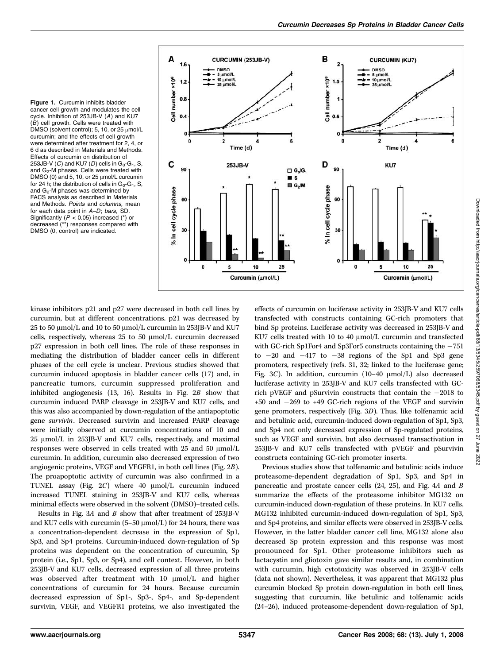Figure 1. Curcumin inhibits bladder cancer cell growth and modulates the cell cycle. Inhibition of 253JB-V (A) and KU7 (B) cell growth. Cells were treated with DMSO (solvent control); 5, 10, or 25  $\mu$ mol/L curcumin; and the effects of cell growth were determined after treatment for 2, 4, or 6 d as described in Materials and Methods. Effects of curcumin on distribution of 253JB-V (C) and KU7 (D) cells in  $G_0-G_1$ , S, and G<sub>2</sub>-M phases. Cells were treated with DMSO (0) and 5, 10, or 25  $\mu$ mol/L curcumin for 24 h; the distribution of cells in  $G_0-G_1$ , S, and  $G_2$ -M phases was determined by FACS analysis as described in Materials and Methods. Points and columns, mean for each data point in A–D; bars, SD. Significantly ( $P < 0.05$ ) increased (\*) or decreased (\*\*) responses compared with DMSO (0, control) are indicated.



kinase inhibitors p21 and p27 were decreased in both cell lines by curcumin, but at different concentrations. p21 was decreased by 25 to 50  $\mu$ mol/L and 10 to 50  $\mu$ mol/L curcumin in 253JB-V and KU7 cells, respectively, whereas  $25$  to  $50 \mu$ mol/L curcumin decreased p27 expression in both cell lines. The role of these responses in mediating the distribution of bladder cancer cells in different phases of the cell cycle is unclear. Previous studies showed that curcumin induced apoptosis in bladder cancer cells (17) and, in pancreatic tumors, curcumin suppressed proliferation and inhibited angiogenesis (13, 16). Results in Fig. 2B show that curcumin induced PARP cleavage in 253JB-V and KU7 cells, and this was also accompanied by down-regulation of the antiapoptotic gene survivin. Decreased survivin and increased PARP cleavage were initially observed at curcumin concentrations of 10 and 25 µmol/L in 253JB-V and KU7 cells, respectively, and maximal responses were observed in cells treated with  $25$  and  $50 \mu \mathrm{mol/L}$ curcumin. In addition, curcumin also decreased expression of two angiogenic proteins, VEGF and VEGFR1, in both cell lines (Fig. 2B). The proapoptotic activity of curcumin was also confirmed in a TUNEL assay (Fig.  $2C$ ) where 40  $\mu$ mol/L curcumin induced increased TUNEL staining in 253JB-V and KU7 cells, whereas minimal effects were observed in the solvent (DMSO)–treated cells.

Results in Fig.  $3A$  and  $B$  show that after treatment of 253JB-V and KU7 cells with curcumin (5-50  $\mu$ mol/L) for 24 hours, there was a concentration-dependent decrease in the expression of Sp1, Sp3, and Sp4 proteins. Curcumin-induced down-regulation of Sp proteins was dependent on the concentration of curcumin, Sp protein (i.e., Sp1, Sp3, or Sp4), and cell context. However, in both 253JB-V and KU7 cells, decreased expression of all three proteins was observed after treatment with 10 µmol/L and higher concentrations of curcumin for 24 hours. Because curcumin decreased expression of Sp1-, Sp3-, Sp4-, and Sp-dependent survivin, VEGF, and VEGFR1 proteins, we also investigated the effects of curcumin on luciferase activity in 253JB-V and KU7 cells transfected with constructs containing GC-rich promoters that bind Sp proteins. Luciferase activity was decreased in 253JB-V and KU7 cells treated with 10 to 40  $\mu$ mol/L curcumin and transfected with GC-rich Sp1For4 and Sp3For5 constructs containing the  $-751$ to -20 and -417 to -38 regions of the Sp1 and Sp3 gene promoters, respectively (refs. 31, 32; linked to the luciferase gene; Fig. 3C). In addition, curcumin  $(10-40 \text{ \mu mol/L})$  also decreased luciferase activity in 253JB-V and KU7 cells transfected with GCrich pVEGF and pSurvivin constructs that contain the -2018 to +50 and -269 to +49 GC-rich regions of the VEGF and survivin gene promoters, respectively (Fig. 3D). Thus, like tolfenamic acid and betulinic acid, curcumin-induced down-regulation of Sp1, Sp3, and Sp4 not only decreased expression of Sp-regulated proteins, such as VEGF and survivin, but also decreased transactivation in 253JB-V and KU7 cells transfected with pVEGF and pSurvivin constructs containing GC-rich promoter inserts.

Previous studies show that tolfenamic and betulinic acids induce proteasome-dependent degradation of Sp1, Sp3, and Sp4 in pancreatic and prostate cancer cells (24, 25), and Fig. 4A and B summarize the effects of the proteasome inhibitor MG132 on curcumin-induced down-regulation of these proteins. In KU7 cells, MG132 inhibited curcumin-induced down-regulation of Sp1, Sp3, and Sp4 proteins, and similar effects were observed in 253JB-V cells. However, in the latter bladder cancer cell line, MG132 alone also decreased Sp protein expression and this response was most pronounced for Sp1. Other proteasome inhibitors such as lactacystin and gliotoxin gave similar results and, in combination with curcumin, high cytotoxicity was observed in 253JB-V cells (data not shown). Nevertheless, it was apparent that MG132 plus curcumin blocked Sp protein down-regulation in both cell lines, suggesting that curcumin, like betulinic and tolfenamic acids (24–26), induced proteasome-dependent down-regulation of Sp1,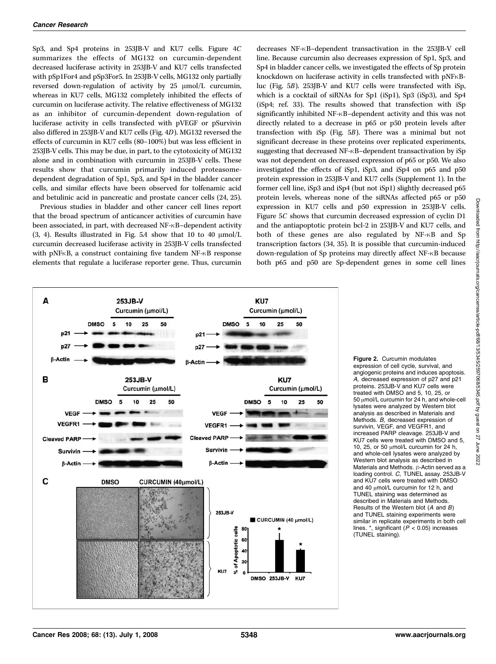Sp3, and Sp4 proteins in 253JB-V and KU7 cells. Figure 4C summarizes the effects of MG132 on curcumin-dependent decreased luciferase activity in 253JB-V and KU7 cells transfected with pSp1For4 and pSp3For5. In 253JB-V cells, MG132 only partially reversed down-regulation of activity by  $25 \mu$ mol/L curcumin, whereas in KU7 cells, MG132 completely inhibited the effects of curcumin on luciferase activity. The relative effectiveness of MG132 as an inhibitor of curcumin-dependent down-regulation of luciferase activity in cells transfected with pVEGF or pSurvivin also differed in 253JB-V and KU7 cells (Fig. 4D). MG132 reversed the effects of curcumin in KU7 cells (80–100%) but was less efficient in 253JB-V cells. This may be due, in part, to the cytotoxicity of MG132 alone and in combination with curcumin in 253JB-V cells. These results show that curcumin primarily induced proteasomedependent degradation of Sp1, Sp3, and Sp4 in the bladder cancer cells, and similar effects have been observed for tolfenamic acid and betulinic acid in pancreatic and prostate cancer cells (24, 25).

Previous studies in bladder and other cancer cell lines report that the broad spectrum of anticancer activities of curcumin have been associated, in part, with decreased NF- $\kappa$ B-dependent activity  $(3, 4)$ . Results illustrated in Fig. 5A show that 10 to 40  $\mu$ mol/L curcumin decreased luciferase activity in 253JB-V cells transfected with pNF $\kappa$ B, a construct containing five tandem NF- $\kappa$ B response elements that regulate a luciferase reporter gene. Thus, curcumin decreases NF-nB–dependent transactivation in the 253JB-V cell line. Because curcumin also decreases expression of Sp1, Sp3, and Sp4 in bladder cancer cells, we investigated the effects of Sp protein knockdown on luciferase activity in cells transfected with pNFKBluc (Fig. 5B). 253JB-V and KU7 cells were transfected with iSp, which is a cocktail of siRNAs for Sp1 (iSp1), Sp3 (iSp3), and Sp4 (iSp4; ref. 33). The results showed that transfection with iSp significantly inhibited NF-KB-dependent activity and this was not directly related to a decrease in p65 or p50 protein levels after transfection with iSp (Fig. 5B). There was a minimal but not significant decrease in these proteins over replicated experiments, suggesting that decreased NF-KB-dependent transactivation by iSp was not dependent on decreased expression of p65 or p50. We also investigated the effects of iSp1, iSp3, and iSp4 on p65 and p50 protein expression in 253JB-V and KU7 cells (Supplement 1). In the former cell line, iSp3and iSp4 (but not iSp1) slightly decreased p65 protein levels, whereas none of the siRNAs affected p65 or p50 expression in KU7 cells and p50 expression in 253JB-V cells. Figure 5C shows that curcumin decreased expression of cyclin D1 and the antiapoptotic protein bcl-2 in 253JB-V and KU7 cells, and both of these genes are also regulated by NF- $\kappa$ B and Sp transcription factors (34, 35). It is possible that curcumin-induced down-regulation of Sp proteins may directly affect NF-nB because both p65 and p50 are Sp-dependent genes in some cell lines



Figure 2. Curcumin modulates expression of cell cycle, survival, and angiogenic proteins and induces apoptosis. A, decreased expression of p27 and p21 proteins. 253JB-V and KU7 cells were treated with DMSO and 5, 10, 25, or 50 µmol/L curcumin for 24 h, and whole-cell lysates were analyzed by Western blot analysis as described in Materials and Methods. B, decreased expression of survivin, VEGF, and VEGFR1, and increased PARP cleavage. 253JB-V and KU7 cells were treated with DMSO and 5, 10, 25, or 50  $\mu$ mol/L curcumin for 24 h, and whole-cell lysates were analyzed by Western blot analysis as described in Materials and Methods.  $\beta$ -Actin served as a loading control. C, TUNEL assay. 253JB-V and KU7 cells were treated with DMSO and 40  $\mu$ mol/L curcumin for 12 h, and TUNEL staining was determined as described in Materials and Methods. Results of the Western blot (A and B) and TUNEL staining experiments were similar in replicate experiments in both cell lines.  $*$ , significant ( $P < 0.05$ ) increases (TUNEL staining).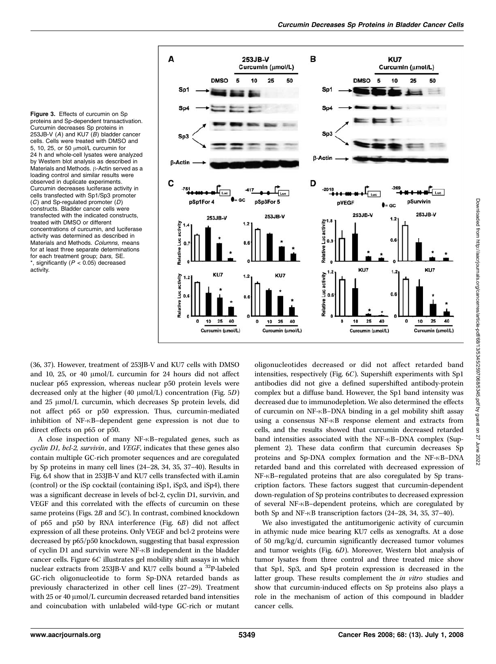



(36, 37). However, treatment of 253JB-V and KU7 cells with DMSO and 10, 25, or 40  $\mu$ mol/L curcumin for 24 hours did not affect nuclear p65 expression, whereas nuclear p50 protein levels were decreased only at the higher (40  $\mu$ mol/L) concentration (Fig. 5D) and  $25 \mu \text{mol/L}$  curcumin, which decreases Sp protein levels, did not affect p65 or p50 expression. Thus, curcumin-mediated inhibition of NF- $\kappa$ B-dependent gene expression is not due to direct effects on p65 or p50.

A close inspection of many NF-KB-regulated genes, such as cyclin D1, bcl-2, survivin, and VEGF, indicates that these genes also contain multiple GC-rich promoter sequences and are coregulated by Sp proteins in many cell lines (24–28, 34, 35, 37–40). Results in Fig. 6A show that in 253JB-V and KU7 cells transfected with iLamin (control) or the iSp cocktail (containing iSp1, iSp3, and iSp4), there was a significant decrease in levels of bcl-2, cyclin D1, survivin, and VEGF and this correlated with the effects of curcumin on these same proteins (Figs. 2B and 5C). In contrast, combined knockdown of p65 and p50 by RNA interference (Fig. 6B) did not affect expression of all these proteins. Only VEGF and bcl-2 proteins were decreased by p65/p50 knockdown, suggesting that basal expression of cyclin D1 and survivin were NF- $\kappa$ B independent in the bladder cancer cells. Figure 6C illustrates gel mobility shift assays in which nuclear extracts from 253JB-V and KU7 cells bound a  $^{32}P$ -labeled GC-rich oligonucleotide to form Sp-DNA retarded bands as previously characterized in other cell lines (27–29). Treatment with  $25$  or  $40 \mu$ mol/L curcumin decreased retarded band intensities and coincubation with unlabeled wild-type GC-rich or mutant oligonucleotides decreased or did not affect retarded band intensities, respectively (Fig. 6C). Supershift experiments with Sp1 antibodies did not give a defined supershifted antibody-protein complex but a diffuse band. However, the Sp1 band intensity was decreased due to immunodepletion. We also determined the effects of curcumin on NF-nB–DNA binding in a gel mobility shift assay using a consensus NF- $\kappa$ B response element and extracts from cells, and the results showed that curcumin decreased retarded band intensities associated with the NF-KB-DNA complex (Supplement 2). These data confirm that curcumin decreases Sp proteins and Sp-DNA complex formation and the NF- $\kappa$ B-DNA retarded band and this correlated with decreased expression of NF- $\kappa$ B–regulated proteins that are also coregulated by Sp transcription factors. These factors suggest that curcumin-dependent down-regulation of Sp proteins contributes to decreased expression of several NF- $\kappa$ B–dependent proteins, which are coregulated by both Sp and NF- $\kappa$ B transcription factors (24–28, 34, 35, 37–40).

We also investigated the antitumorigenic activity of curcumin in athymic nude mice bearing KU7 cells as xenografts. At a dose of 50 mg/kg/d, curcumin significantly decreased tumor volumes and tumor weights (Fig. 6D). Moreover, Western blot analysis of tumor lysates from three control and three treated mice show that Sp1, Sp3, and Sp4 protein expression is decreased in the latter group. These results complement the *in vitro* studies and show that curcumin-induced effects on Sp proteins also plays a role in the mechanism of action of this compound in bladder cancer cells.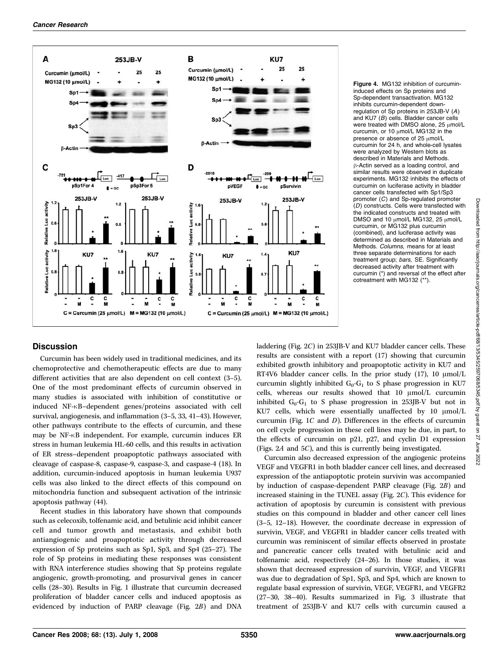

Figure 4. MG132 inhibition of curcumininduced effects on Sp proteins and Sp-dependent transactivation. MG132 inhibits curcumin-dependent downregulation of Sp proteins in 253JB-V (A) and KU7 (B) cells. Bladder cancer cells were treated with DMSO alone,  $25 \mu$ mol/L curcumin, or 10  $\mu$ mol/L MG132 in the presence or absence of 25  $\mu$ mol/L curcumin for 24 h, and whole-cell lysates were analyzed by Western blots as described in Materials and Methods.  $\beta$ -Actin served as a loading control, and similar results were observed in duplicate experiments. MG132 inhibits the effects of curcumin on luciferase activity in bladder cancer cells transfected with Sp1/Sp3 promoter (C) and Sp-regulated promoter (D) constructs. Cells were transfected with the indicated constructs and treated with DMSO and 10  $\mu$ mol/L MG132, 25  $\mu$ mol/L curcumin, or MG132 plus curcumin (combined), and luciferase activity was determined as described in Materials and Methods. Columns, means for at least three separate determinations for each treatment group; bars, SE. Significantly decreased activity after treatment with curcumin (\*) and reversal of the effect after cotreatment with MG132 (\*\*).

## **Discussion**

Curcumin has been widely used in traditional medicines, and its chemoprotective and chemotherapeutic effects are due to many different activities that are also dependent on cell context (3–5). One of the most predominant effects of curcumin observed in many studies is associated with inhibition of constitutive or induced NF- $\kappa$ B-dependent genes/proteins associated with cell survival, angiogenesis, and inflammation (3–5, 33, 41–43). However, other pathways contribute to the effects of curcumin, and these may be  $NF-<sub>K</sub>B$  independent. For example, curcumin induces  $ER$ stress in human leukemia HL-60 cells, and this results in activation of ER stress–dependent proapoptotic pathways associated with cleavage of caspase-8, caspase-9, caspase-3, and caspase-4 (18). In addition, curcumin-induced apoptosis in human leukemia U937 cells was also linked to the direct effects of this compound on mitochondria function and subsequent activation of the intrinsic apoptosis pathway (44).

Recent studies in this laboratory have shown that compounds such as celecoxib, tolfenamic acid, and betulinic acid inhibit cancer cell and tumor growth and metastasis, and exhibit both antiangiogenic and proapoptotic activity through decreased expression of Sp proteins such as Sp1, Sp3, and Sp4 (25–27). The role of Sp proteins in mediating these responses was consistent with RNA interference studies showing that Sp proteins regulate angiogenic, growth-promoting, and prosurvival genes in cancer cells (28–30). Results in Fig. 1 illustrate that curcumin decreased proliferation of bladder cancer cells and induced apoptosis as evidenced by induction of PARP cleavage (Fig. 2B) and DNA

laddering (Fig. 2C) in 253JB-V and KU7 bladder cancer cells. These results are consistent with a report (17) showing that curcumin exhibited growth inhibitory and proapoptotic activity in KU7 and RT4V6 bladder cancer cells. In the prior study  $(17)$ ,  $10 \mu \text{mol/L}$ curcumin slightly inhibited  $G_0-G_1$  to S phase progression in KU7 cells, whereas our results showed that  $10 \mu$ mol/L curcumin inhibited  $G_0-G_1$  to S phase progression in 253JB-V but not in KU7 cells, which were essentially unaffected by  $10 \mu \text{mol/L}$ curcumin (Fig. 1C and D). Differences in the effects of curcumin on cell cycle progression in these cell lines may be due, in part, to the effects of curcumin on p21, p27, and cyclin D1 expression (Figs. 2A and 5C), and this is currently being investigated.

Curcumin also decreased expression of the angiogenic proteins VEGF and VEGFR1 in both bladder cancer cell lines, and decreased expression of the antiapoptotic protein survivin was accompanied by induction of caspase-dependent PARP cleavage (Fig. 2B) and increased staining in the TUNEL assay (Fig. 2C). This evidence for activation of apoptosis by curcumin is consistent with previous studies on this compound in bladder and other cancer cell lines (3–5, 12–18). However, the coordinate decrease in expression of survivin, VEGF, and VEGFR1 in bladder cancer cells treated with curcumin was reminiscent of similar effects observed in prostate and pancreatic cancer cells treated with betulinic acid and tolfenamic acid, respectively (24–26). In those studies, it was shown that decreased expression of survivin, VEGF, and VEGFR1 was due to degradation of Sp1, Sp3, and Sp4, which are known to regulate basal expression of survivin, VEGF, VEGFR1, and VEGFR2 (27–30, 38–40). Results summarized in Fig. 3 illustrate that treatment of 253JB-V and KU7 cells with curcumin caused a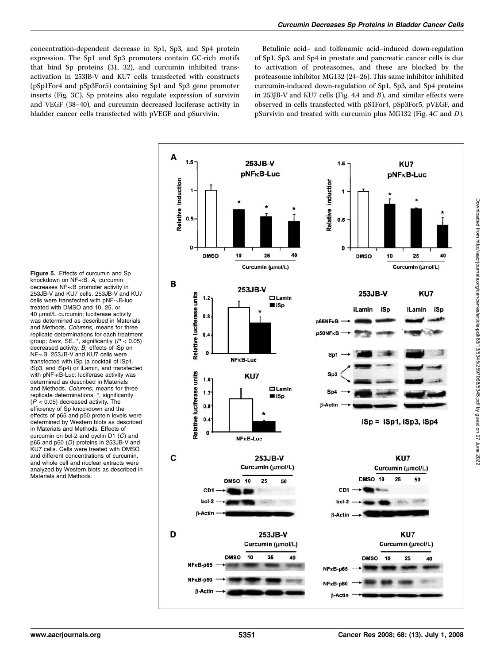concentration-dependent decrease in Sp1, Sp3, and Sp4 protein expression. The Sp1 and Sp3 promoters contain GC-rich motifs that bind Sp proteins (31, 32), and curcumin inhibited transactivation in 253JB-V and KU7 cells transfected with constructs (pSp1For4 and pSp3For5) containing Sp1 and Sp3 gene promoter inserts (Fig. 3C). Sp proteins also regulate expression of survivin and VEGF (38–40), and curcumin decreased luciferase activity in bladder cancer cells transfected with pVEGF and pSurvivin.

Betulinic acid– and tolfenamic acid–induced down-regulation of Sp1, Sp3, and Sp4 in prostate and pancreatic cancer cells is due to activation of proteasomes, and these are blocked by the proteasome inhibitor MG132 (24–26). This same inhibitor inhibited curcumin-induced down-regulation of Sp1, Sp3, and Sp4 proteins in 253JB-V and KU7 cells (Fig.  $4A$  and  $B$ ), and similar effects were observed in cells transfected with pS1For4, pSp3For5, pVEGF, and pSurvivin and treated with curcumin plus MG132 (Fig. 4C and D).



Figure 5. Effects of curcumin and Sp knockdown on NF-RB. A, curcumin decreases NF-KB promoter activity in 253JB-V and KU7 cells. 253JB-V and KU7 cells were transfected with  $pNF -\kappa B$ -luc treated with DMSO and 10, 25, or 40 µmol/L curcumin; luciferase activity was determined as described in Materials and Methods. Columns, means for three replicate determinations for each treatment group; bars, SE. \*, significantly  $(P < 0.05)$ decreased activity. B, effects of iSp on NF-RB. 253JB-V and KU7 cells were transfected with iSp (a cocktail of iSp1, iSp3, and iSp4) or iLamin, and transfected with pNF- $\kappa$ B-Luc; luciferase activity was determined as described in Materials and Methods. Columns, means for three replicate determinations. \*, significantly  $(P < 0.05)$  decreased activity. The efficiency of Sp knockdown and the effects of p65 and p50 protein levels were determined by Western blots as described in Materials and Methods. Effects of curcumin on bcl-2 and cyclin D1 (C) and p65 and p50 (D) proteins in 253JB-V and KU7 cells. Cells were treated with DMSO and different concentrations of curcumin, and whole cell and nuclear extracts were analyzed by Western blots as described in Materials and Methods.

Downloaded from http://aacrjournals.org/cancerres/article-pdf/68/13/5345/2597068/5345.pdf by guest on 27 June 2022

Downloaded from http://aacrjournals.org/cancerres/article-pdf/68/13/5345/2597068/5345.pdf by guest on 27 June 2022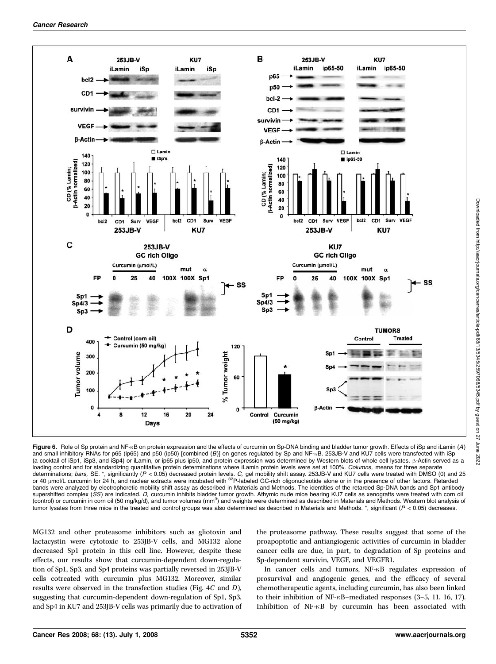

Figure 6. Role of Sp protein and NF-RB on protein expression and the effects of curcumin on Sp-DNA binding and bladder tumor growth. Effects of iSp and iLamin (A) and small inhibitory RNAs for p65 (ip65) and p50 (ip50) [combined (B)] on genes regulated by Sp and NF- $kB$ . 253JB-V and KU7 cells were transfected with iSp (a cocktail of iSp1, iSp3, and iSp4) or iLamin, or ip65 plus ip50, and protein expression was determined by Western blots of whole cell lysates. B-Actin served as a loading control and for standardizing quantitative protein determinations where iLamin protein levels were set at 100%. Columns, means for three separate determinations; *bars*, SE. \*, significantly (P < 0.05) decreased protein levels. *C,* gel mobility shift assay. 253JB-V and KU7 cells were treated with DMSO (0) and 25<br>or 40 μmol/L curcumin for 24 h, and nuclear extracts bands were analyzed by electrophoretic mobility shift assay as described in Materials and Methods. The identities of the retarded Sp-DNA bands and Sp1 antibody supershifted complex (SS) are indicated. D, curcumin inhibits bladder tumor growth. Athymic nude mice bearing KU7 cells as xenografts were treated with corn oil (control) or curcumin in corn oil (50 mg/kg/d), and tumor volumes (mm<sup>3</sup>) and weights were determined as described in Materials and Methods. Western blot analysis of tumor lysates from three mice in the treated and control groups was also determined as described in Materials and Methods. \*, significant (P < 0.05) decreases.

MG132 and other proteasome inhibitors such as gliotoxin and lactacystin were cytotoxic to 253JB-V cells, and MG132 alone decreased Sp1 protein in this cell line. However, despite these effects, our results show that curcumin-dependent down-regulation of Sp1, Sp3, and Sp4 proteins was partially reversed in 253JB-V cells cotreated with curcumin plus MG132. Moreover, similar results were observed in the transfection studies (Fig. 4C and D), suggesting that curcumin-dependent down-regulation of Sp1, Sp3, and Sp4 in KU7 and 253JB-V cells was primarily due to activation of the proteasome pathway. These results suggest that some of the proapoptotic and antiangiogenic activities of curcumin in bladder cancer cells are due, in part, to degradation of Sp proteins and Sp-dependent survivin, VEGF, and VEGFR1.

In cancer cells and tumors, NF-KB regulates expression of prosurvival and angiogenic genes, and the efficacy of several chemotherapeutic agents, including curcumin, has also been linked to their inhibition of NF- $\kappa$ B–mediated responses (3–5, 11, 16, 17). Inhibition of NF-KB by curcumin has been associated with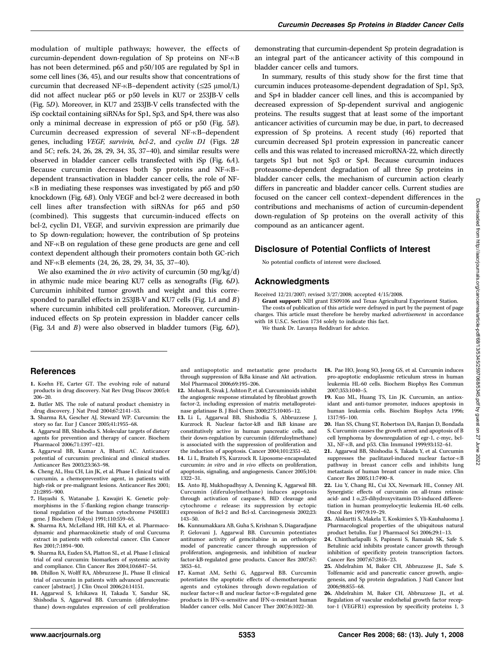modulation of multiple pathways; however, the effects of curcumin-dependent down-regulation of Sp proteins on NF-KB has not been determined. p65 and p50/105 are regulated by Sp1 in some cell lines (36, 45), and our results show that concentrations of curcumin that decreased NF- $\kappa$ B–dependent activity ( $\leq$ 25 µmol/L) did not affect nuclear p65 or p50 levels in KU7 or 253JB-V cells (Fig. 5D). Moreover, in KU7 and 253JB-V cells transfected with the iSp cocktail containing siRNAs for Sp1, Sp3, and Sp4, there was also only a minimal decrease in expression of p65 or p50 (Fig. 5B). Curcumin decreased expression of several NF- $\kappa$ B-dependent genes, including VEGF, survivin, bcl-2, and cyclin D1 (Figs. 2B and 5C; refs. 24, 26, 28, 29, 34, 35, 37–40), and similar results were observed in bladder cancer cells transfected with iSp (Fig. 6A). Because curcumin decreases both Sp proteins and NF- $\kappa$ Bdependent transactivation in bladder cancer cells, the role of NF- $\kappa$ B in mediating these responses was investigated by p65 and p50 knockdown (Fig. 6B). Only VEGF and bcl-2 were decreased in both cell lines after transfection with siRNAs for p65 and p50 (combined). This suggests that curcumin-induced effects on bcl-2, cyclin D1, VEGF, and survivin expression are primarily due to Sp down-regulation; however, the contribution of Sp proteins and NF- $\kappa$ B on regulation of these gene products are gene and cell context dependent although their promoters contain both GC-rich and NF-KB elements (24, 26, 28, 29, 34, 35, 37-40).

We also examined the in vivo activity of curcumin  $(50 \text{ mg/kg/d})$ in athymic nude mice bearing KU7 cells as xenografts (Fig. 6D). Curcumin inhibited tumor growth and weight and this corresponded to parallel effects in 253JB-V and KU7 cells (Fig. 1A and B) where curcumin inhibited cell proliferation. Moreover, curcumininduced effects on Sp protein expression in bladder cancer cells (Fig. 3A and B) were also observed in bladder tumors (Fig. 6D), demonstrating that curcumin-dependent Sp protein degradation is an integral part of the anticancer activity of this compound in bladder cancer cells and tumors.

In summary, results of this study show for the first time that curcumin induces proteasome-dependent degradation of Sp1, Sp3, and Sp4 in bladder cancer cell lines, and this is accompanied by decreased expression of Sp-dependent survival and angiogenic proteins. The results suggest that at least some of the important anticancer activities of curcumin may be due, in part, to decreased expression of Sp proteins. A recent study (46) reported that curcumin decreased Sp1 protein expression in pancreatic cancer cells and this was related to increased microRNA-22, which directly targets Sp1 but not Sp3 or Sp4. Because curcumin induces proteasome-dependent degradation of all three Sp proteins in bladder cancer cells, the mechanism of curcumin action clearly differs in pancreatic and bladder cancer cells. Current studies are focused on the cancer cell context–dependent differences in the contributions and mechanisms of action of curcumin-dependent down-regulation of Sp proteins on the overall activity of this compound as an anticancer agent.

#### Disclosure of Potential Conflicts of Interest

No potential conflicts of interest were disclosed.

### Acknowledgments

Received 12/21/2007; revised 3/27/2008; accepted 4/15/2008.

Grant support: NIH grant ES09106 and Texas Agricultural Experiment Station.

The costs of publication of this article were defrayed in part by the payment of page charges. This article must therefore be hereby marked *advertisement* in accordance with 18 U.S.C. Section 1734 solely to indicate this fact.

We thank Dr. Lavanya Reddivari for advice.

#### References

- 1. Koehn FE, Carter GT. The evolving role of natural products in drug discovery. Nat Rev Drug Discov 2005;4: 206–20.
- 2. Butler MS. The role of natural product chemistry in drug discovery. J Nat Prod 2004;67:2141–53.
- 3. Sharma RA, Gescher AJ, Steward WP. Curcumin: the story so far. Eur J Cancer 2005;41:1955–68.
- 4. Aggarwal BB, Shishodia S. Molecular targets of dietary agents for prevention and therapy of cancer. Biochem Pharmacol 2006;71:1397–421.
- 5. Aggarwal BB, Kumar A, Bharti AC. Anticancer potential of curcumin: preclinical and clinical studies. Anticancer Res 2003;23:363–98.
- 6. Cheng AL, Hsu CH, Lin JK, et al. Phase I clinical trial of curcumin, a chemopreventive agent, in patients with high-risk or pre-malignant lesions. Anticancer Res 2001; 21:2895–900.
- 7. Hayashi S, Watanabe J, Kawajiri K. Genetic polymorphisms in the  $5'$ -flanking region change transcriptional regulation of the human cytochrome P450IIE1 gene. J Biochem (Tokyo) 1991;110:559–65.
- 8. Sharma RA, McLelland HR, Hill KA, et al. Pharmacodynamic and pharmacokinetic study of oral Curcuma extract in patients with colorectal cancer. Clin Cancer Res 2001;7:1894–900.
- 9. Sharma RA, Euden SA, Platton SL, et al. Phase I clinical trial of oral curcumin: biomarkers of systemic activity and compliance. Clin Cancer Res 2004;10:6847–54.
- 10. Dhillon N, Wolff RA, Abbruzzese JL. Phase II clinical trial of curcumin in patients with advanced pancreatic cancer [abstract]. J Clin Oncol 2006;24:14151.
- 11. Aggarwal S, Ichikawa H, Takada Y, Sandur SK, Shishodia S, Aggarwal BB. Curcumin (diferuloylmethane) down-regulates expression of cell proliferation

and antiapoptotic and metastatic gene products through suppression of IkBa kinase and Akt activation. Mol Pharmacol 2006;69:195–206.

- 12. Mohan R, Sivak J, Ashton P, et al. Curcuminoids inhibit the angiogenic response stimulated by fibroblast growth factor-2, including expression of matrix metalloproteinase gelatinase B. J Biol Chem 2000;275:10405–12.
- 13. Li L, Aggarwal BB, Shishodia S, Abbruzzese J, Kurzrock R. Nuclear factor-kB and IkB kinase are constitutively active in human pancreatic cells, and their down-regulation by curcumin (diferuloylmethane) is associated with the suppression of proliferation and the induction of apoptosis. Cancer 2004;101:2351–62.
- 14. Li L, Braiteh FS, Kurzrock R. Liposome-encapsulated curcumin: in vitro and in vivo effects on proliferation, apoptosis, signaling, and angiogenesis. Cancer 2005;104: 1322–31.
- 15. Anto RJ, Mukhopadhyay A, Denning K, Aggarwal BB. Curcumin (diferuloylmethane) induces apoptosis through activation of caspase-8, BID cleavage and cytochrome c release: its suppression by ectopic expression of Bcl-2 and Bcl-xl. Carcinogenesis 2002;23: 143–50.
- 16. Kunnumakkara AB, Guha S, Krishnan S, Diagaradjane P, Gelovani J, Aggarwal BB. Curcumin potentiates antitumor activity of gemcitabine in an orthotopic model of pancreatic cancer through suppression of proliferation, angiogenesis, and inhibition of nuclear factor-kB-regulated gene products. Cancer Res 2007;67: 3853–61.
- 17. Kamat AM, Sethi G, Aggarwal BB. Curcumin potentiates the apoptotic effects of chemotherapeutic agents and cytokines through down-regulation of nuclear factor- $\kappa$ B and nuclear factor- $\kappa$ B-regulated gene products in IFN- $\alpha$ -sensitive and IFN- $\alpha$ -resistant human bladder cancer cells. Mol Cancer Ther 2007;6:1022–30.
- 18. Pae HO, Jeong SO, Jeong GS, et al. Curcumin induces pro-apoptotic endoplasmic reticulum stress in human leukemia HL-60 cells. Biochem Biophys Res Commun 2007;353:1040–5.
- 19. Kuo ML, Huang TS, Lin JK. Curcumin, an antioxidant and anti-tumor promoter, induces apoptosis in human leukemia cells. Biochim Biophys Acta 1996; 1317:95–100.
- 20. Han SS, Chung ST, Robertson DA, Ranjan D, Bondada S. Curcumin causes the growth arrest and apoptosis of B cell lymphoma by downregulation of egr-1, c-myc, bcl-XL, NF-nB, and p53. Clin Immunol 1999;93:152–61.
- 21. Aggarwal BB, Shishodia S, Takada Y, et al. Curcumin suppresses the paclitaxel-induced nuclear factor- $\kappa B$ pathway in breast cancer cells and inhibits lung metastasis of human breast cancer in nude mice. Clin Cancer Res 2005;11:7490–8.
- 22. Liu Y, Chang RL, Cui XX, Newmark HL, Conney AH. Synergistic effects of curcumin on all-trans retinoic acid- and 1  $\alpha$ ,25-dihydroxyvitamin D3-induced differentiation in human promyelocytic leukemia HL-60 cells. Oncol Res 1997;9:19–29.
- 23. Alakurtti S, Makela T, Koskimies S, Yli-Kauhaluoma J. Pharmacological properties of the ubiquitous natural product betulin. Eur J Pharmacol Sci 2006;29:1–13.
- 24. Chintharlapalli S, Papineni S, Ramaiah SK, Safe S. Betulinic acid inhibits prostate cancer growth through inhibition of specificity protein transcription factors. Cancer Res 2007;67:2816–23.
- 25. Abdelrahim M, Baker CH, Abbruzzese JL, Safe S. Tolfenamic acid and pancreatic cancer growth, angiogenesis, and Sp protein degradation. J Natl Cancer Inst 2006;98:855–68.
- 26. Abdelrahim M, Baker CH, Abbruzzese JL, et al. Regulation of vascular endothelial growth factor receptor-1 (VEGFR1) expression by specificity proteins 1, 3